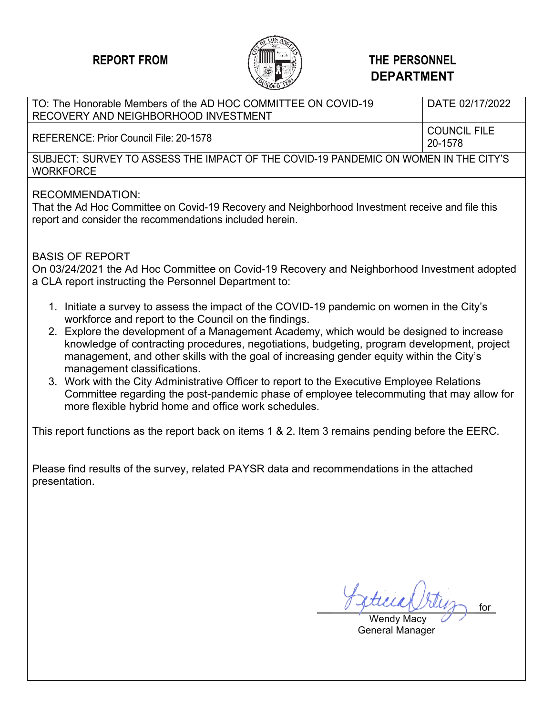

#### **REPORT FROM THE PERSONNEL DEPARTMENT**

#### TO: The Honorable Members of the AD HOC COMMITTEE ON COVID-19 RECOVERY AND NEIGHBORHOOD INVESTMENT DATE 02/17/2022 REFERENCE: Prior Council File: 20-1578 20-1578 SUBJECT: SURVEY TO ASSESS THE IMPACT OF THE COVID-19 PANDEMIC ON WOMEN IN THE CITY'S **WORKFORCE** RECOMMENDATION: That the Ad Hoc Committee on Covid-19 Recovery and Neighborhood Investment receive and file this report and consider the recommendations included herein. BASIS OF REPORT On 03/24/2021 the Ad Hoc Committee on Covid-19 Recovery and Neighborhood Investment adopted a CLA report instructing the Personnel Department to:

- 1. Initiate a survey to assess the impact of the COVID-19 pandemic on women in the City's workforce and report to the Council on the findings.
- 2. Explore the development of a Management Academy, which would be designed to increase knowledge of contracting procedures, negotiations, budgeting, program development, project management, and other skills with the goal of increasing gender equity within the City's management classifications.
- 3. Work with the City Administrative Officer to report to the Executive Employee Relations Committee regarding the post-pandemic phase of employee telecommuting that may allow for more flexible hybrid home and office work schedules.

This report functions as the report back on items 1 & 2. Item 3 remains pending before the EERC.

Please find results of the survey, related PAYSR data and recommendations in the attached presentation.

for

 Wendy Macy General Manager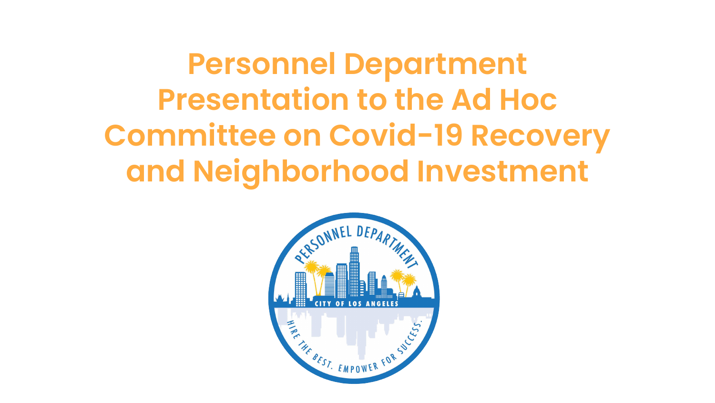**Personnel Department Presentation to the Ad Hoc Committee on Covid-19 Recovery and Neighborhood Investment**

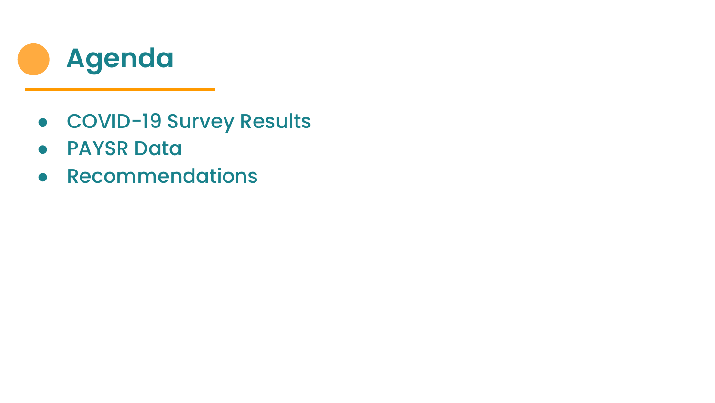

- COVID-19 Survey Results
- PAYSR Data
- Recommendations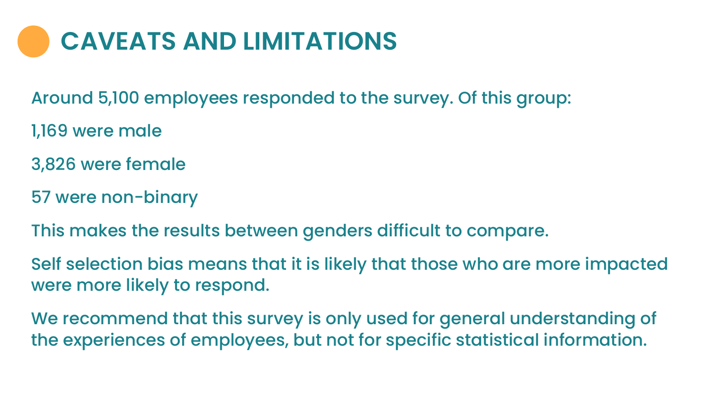## **CAVEATS AND LIMITATIONS**

Around 5,100 employees responded to the survey. Of this group:

- 1,169 were male
- 3,826 were female
- 57 were non-binary
- This makes the results between genders difficult to compare.

Self selection bias means that it is likely that those who are more impacted were more likely to respond.

We recommend that this survey is only used for general understanding of the experiences of employees, but not for specific statistical information.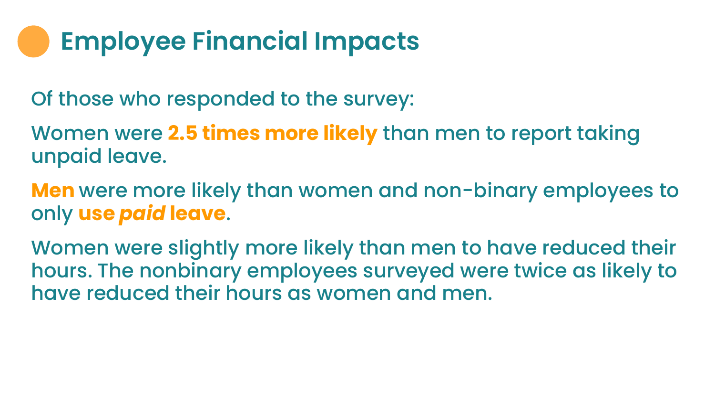# **Employee Financial Impacts**

Of those who responded to the survey:

Women were **2.5 times more likely** than men to report taking unpaid leave.

**Men** were more likely than women and non-binary employees to only **use** *paid* **leave**.

Women were slightly more likely than men to have reduced their hours. The nonbinary employees surveyed were twice as likely to have reduced their hours as women and men.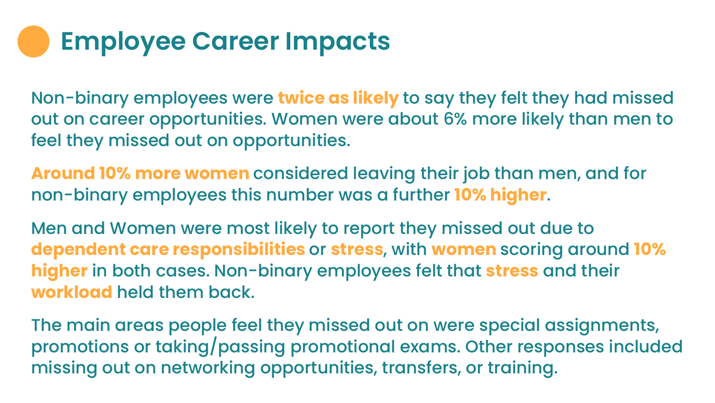# **Employee Career Impacts**

Non-binary employees were **twice as likely** to say they felt they had missed out on career opportunities. Women were about 6% more likely than men to feel they missed out on opportunities.

**Around 10% more women** considered leaving their job than men, and for non-binary employees this number was a further **10% higher**.

Men and Women were most likely to report they missed out due to **dependent care responsibilities** or **stress**, with **women** scoring around **10% higher** in both cases. Non-binary employees felt that **stress** and their **workload** held them back.

The main areas people feel they missed out on were special assignments, promotions or taking/passing promotional exams. Other responses included missing out on networking opportunities, transfers, or training.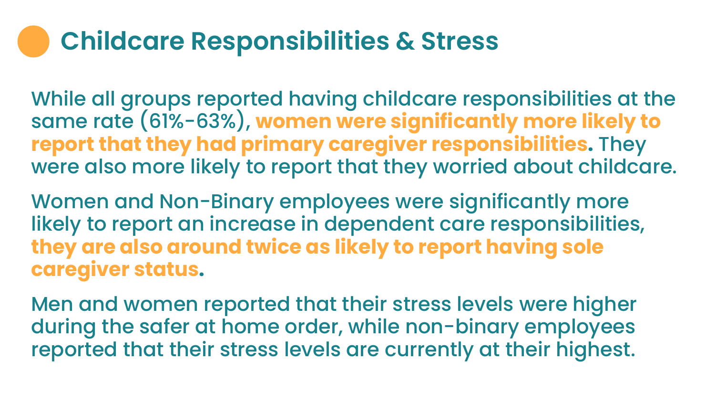## **Childcare Responsibilities & Stress**

While all groups reported having childcare responsibilities at the same rate (61%-63%), **women were significantly more likely to report that they had primary caregiver responsibilities.** They were also more likely to report that they worried about childcare.

Women and Non-Binary employees were significantly more likely to report an increase in dependent care responsibilities, **they are also around twice as likely to report having sole caregiver status.**

Men and women reported that their stress levels were higher during the safer at home order, while non-binary employees reported that their stress levels are currently at their highest.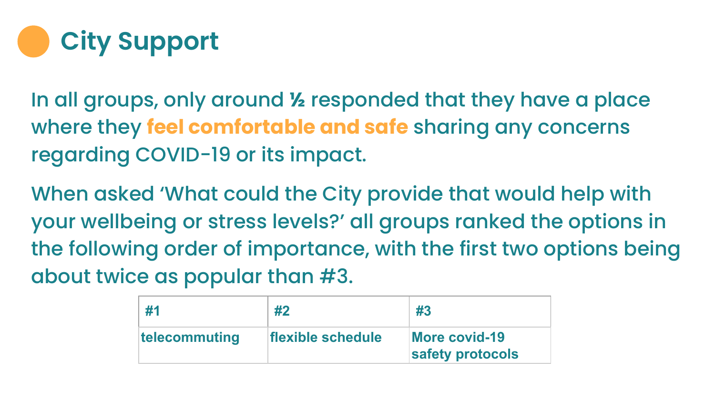

In all groups, only around **½** responded that they have a place where they **feel comfortable and safe** sharing any concerns regarding COVID-19 or its impact.

When asked 'What could the City provide that would help with your wellbeing or stress levels?' all groups ranked the options in the following order of importance, with the first two options being about twice as popular than #3.

| #1            | #2                | #3                                       |
|---------------|-------------------|------------------------------------------|
| telecommuting | flexible schedule | <b>More covid-19</b><br>safety protocols |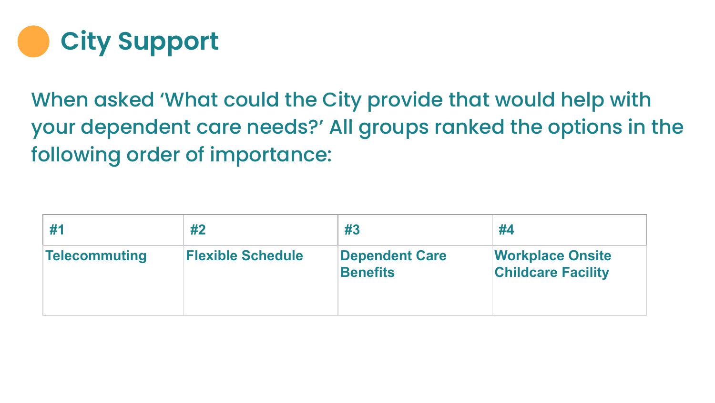

When asked 'What could the City provide that would help with your dependent care needs?' All groups ranked the options in the following order of importance:

|               | #2                       | #3                                       | #4                                                   |
|---------------|--------------------------|------------------------------------------|------------------------------------------------------|
| Telecommuting | <b>Flexible Schedule</b> | <b>Dependent Care</b><br><b>Benefits</b> | <b>Workplace Onsite</b><br><b>Childcare Facility</b> |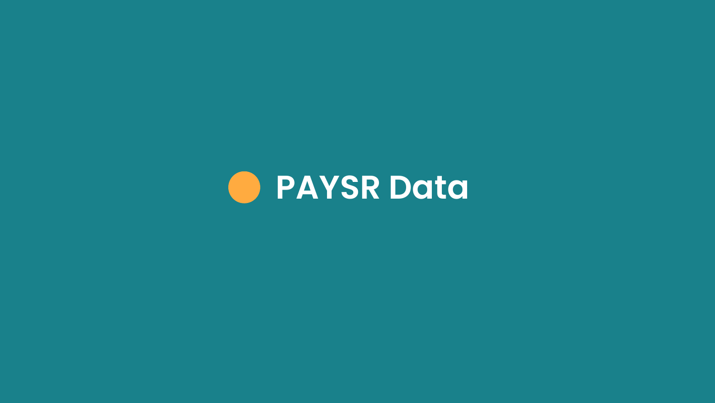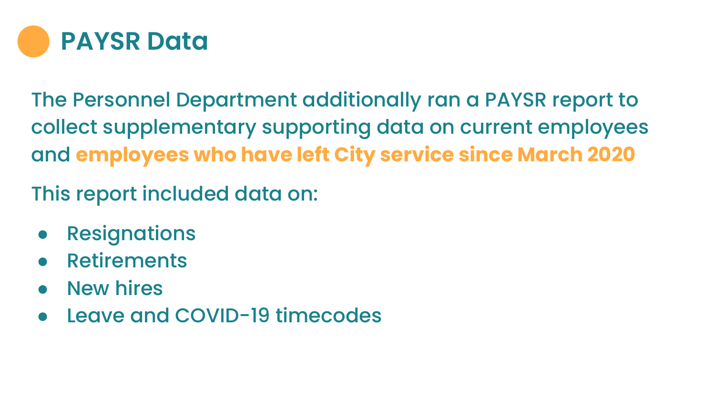

The Personnel Department additionally ran a PAYSR report to collect supplementary supporting data on current employees and **employees who have left City service since March 2020**

This report included data on:

- **Resignations**
- **Retirements**
- **New hires**
- Leave and COVID-19 timecodes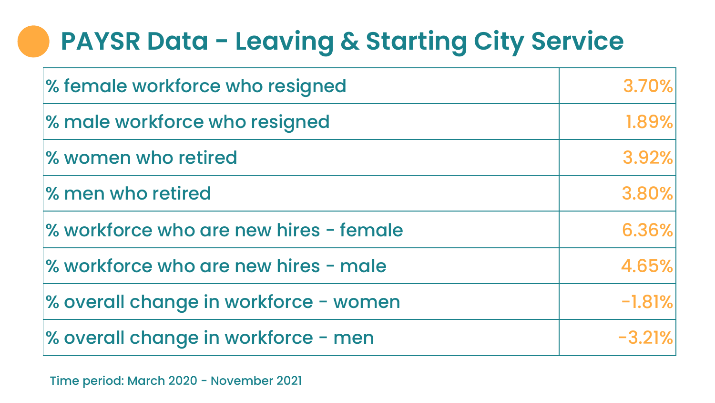# **PAYSR Data - Leaving & Starting City Service**

| % female workforce who resigned        | 3.70%    |
|----------------------------------------|----------|
| % male workforce who resigned          | 1.89%    |
| % women who retired                    | 3.92%    |
| % men who retired                      | 3.80%    |
| % workforce who are new hires - female | 6.36%    |
| % workforce who are new hires - male   | 4.65%    |
| % overall change in workforce - women  | $-1.81%$ |
| % overall change in workforce - men    | $-3.21%$ |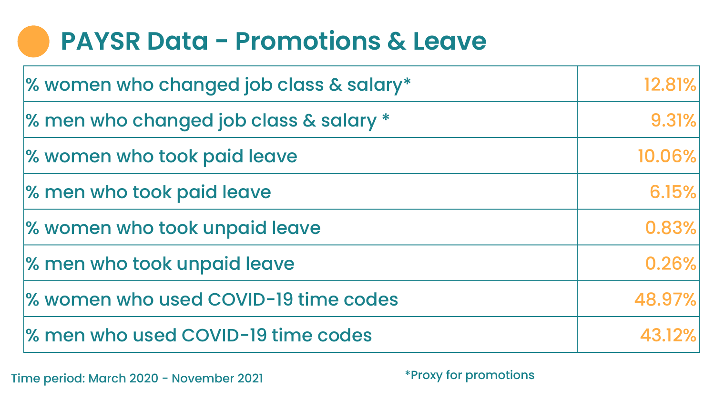#### **PAYSR Data - Promotions & Leave**

| % women who changed job class & salary* | 12.81% |
|-----------------------------------------|--------|
| % men who changed job class & salary *  | 9.31%  |
| % women who took paid leave             | 10.06% |
| % men who took paid leave               | 6.15%  |
| % women who took unpaid leave           | 0.83%  |
| % men who took unpaid leave             | 0.26%  |
| % women who used COVID-19 time codes    | 48.97% |
| % men who used COVID-19 time codes      | 43.12% |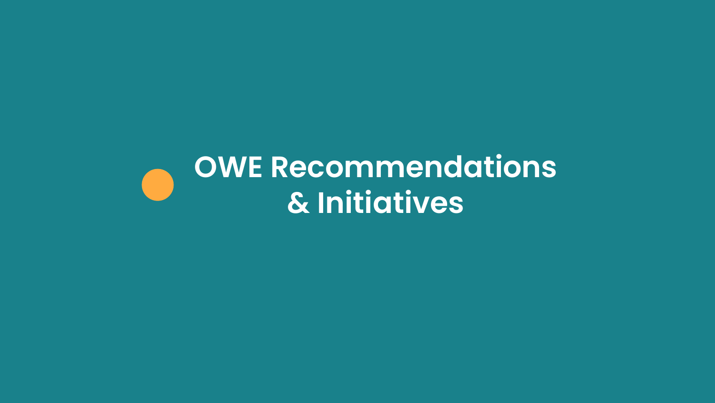# **OWE Recommendations & Initiatives**